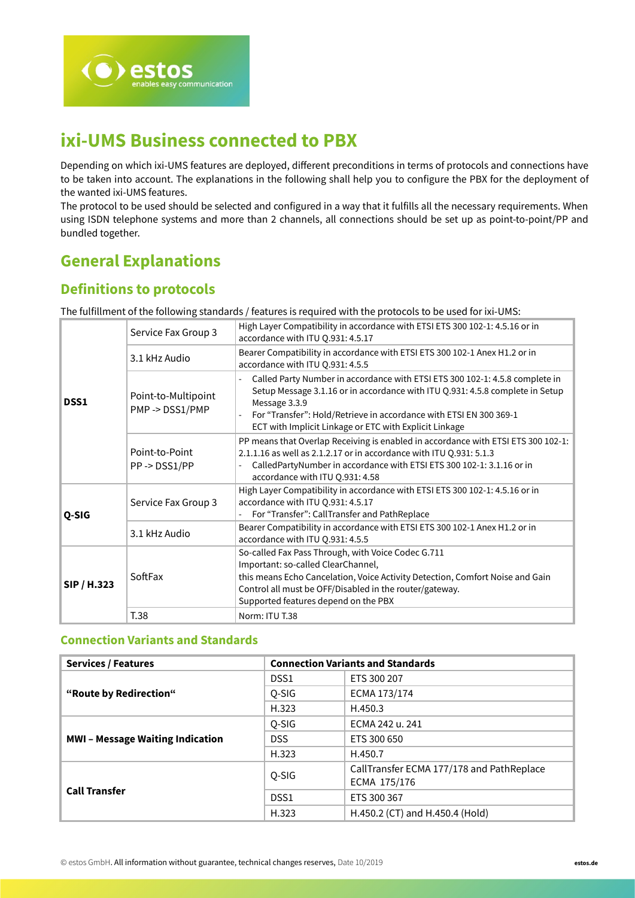

# **ixi-UMS Business connected to PBX**

Depending on which ixi-UMS features are deployed, different preconditions in terms of protocols and connections have to be taken into account. The explanations in the following shall help you to configure the PBX for the deployment of the wanted ixi-UMS features.

The protocol to be used should be selected and configured in a way that it fulfills all the necessary requirements. When using ISDN telephone systems and more than 2 channels, all connections should be set up as point-to-point/PP and bundled together.

## **General Explanations**

## **Definitions to protocols**

The fulfillment of the following standards / features is required with the protocols to be used for ixi-UMS:

| DSS1        | Service Fax Group 3                  | High Layer Compatibility in accordance with ETSI ETS 300 102-1: 4.5.16 or in<br>accordance with ITU Q.931: 4.5.17                                                                                                                                                            |  |
|-------------|--------------------------------------|------------------------------------------------------------------------------------------------------------------------------------------------------------------------------------------------------------------------------------------------------------------------------|--|
|             | 3.1 kHz Audio                        | Bearer Compatibility in accordance with ETSI ETS 300 102-1 Anex H1.2 or in<br>accordance with ITU Q.931: 4.5.5                                                                                                                                                               |  |
|             | Point-to-Multipoint<br>PMP->DSS1/PMP | Called Party Number in accordance with ETSI ETS 300 102-1: 4.5.8 complete in<br>Setup Message 3.1.16 or in accordance with ITU Q.931: 4.5.8 complete in Setup<br>Message 3.3.9                                                                                               |  |
|             |                                      | For "Transfer": Hold/Retrieve in accordance with ETSI EN 300 369-1<br>ECT with Implicit Linkage or ETC with Explicit Linkage                                                                                                                                                 |  |
|             | Point-to-Point<br>PP->DSS1/PP        | PP means that Overlap Receiving is enabled in accordance with ETSI ETS 300 102-1:<br>2.1.1.16 as well as 2.1.2.17 or in accordance with ITU Q.931: 5.1.3<br>CalledPartyNumber in accordance with ETSI ETS 300 102-1: 3.1.16 or in<br>accordance with ITU Q.931: 4.58         |  |
| Q-SIG       | Service Fax Group 3                  | High Layer Compatibility in accordance with ETSI ETS 300 102-1: 4.5.16 or in<br>accordance with ITU Q.931: 4.5.17<br>For "Transfer": CallTransfer and PathReplace                                                                                                            |  |
|             | 3.1 kHz Audio                        | Bearer Compatibility in accordance with ETSI ETS 300 102-1 Anex H1.2 or in<br>accordance with ITU Q.931: 4.5.5                                                                                                                                                               |  |
| SIP / H.323 | SoftFax                              | So-called Fax Pass Through, with Voice Codec G.711<br>Important: so-called ClearChannel,<br>this means Echo Cancelation, Voice Activity Detection, Comfort Noise and Gain<br>Control all must be OFF/Disabled in the router/gateway.<br>Supported features depend on the PBX |  |
|             | T.38                                 | Norm: ITU T.38                                                                                                                                                                                                                                                               |  |

## **Connection Variants and Standards**

| <b>Services / Features</b>            | <b>Connection Variants and Standards</b> |                                           |  |
|---------------------------------------|------------------------------------------|-------------------------------------------|--|
|                                       | DSS <sub>1</sub>                         | ETS 300 207                               |  |
| "Route by Redirection"                | Q-SIG                                    | ECMA 173/174                              |  |
|                                       | H.323                                    | H.450.3                                   |  |
|                                       | Q-SIG                                    | ECMA 242 u. 241                           |  |
| <b>MWI-Message Waiting Indication</b> | DSS.                                     | ETS 300 650                               |  |
|                                       | H.323                                    | H.450.7                                   |  |
|                                       | Q-SIG                                    | CallTransfer ECMA 177/178 and PathReplace |  |
|                                       |                                          | ECMA 175/176                              |  |
| <b>Call Transfer</b>                  | DSS <sub>1</sub>                         | ETS 300 367                               |  |
|                                       | H.323                                    | H.450.2 (CT) and H.450.4 (Hold)           |  |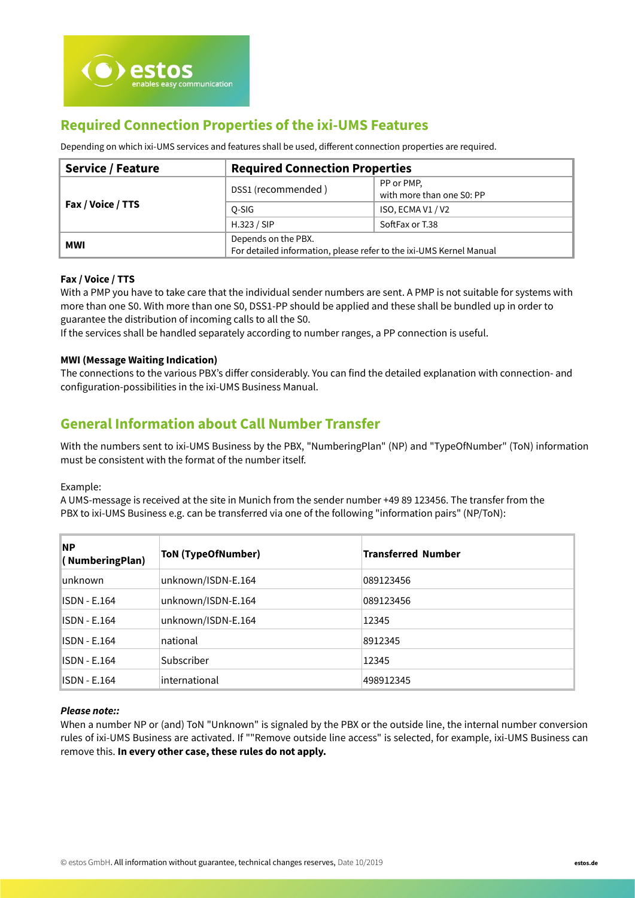## **Required Connection Properties of the ixi-UMS Features**

Depending on which ixi-UMS services and features shall be used, different connection properties are required.

| <b>Service / Feature</b> | <b>Required Connection Properties</b>                                                      |                                         |  |
|--------------------------|--------------------------------------------------------------------------------------------|-----------------------------------------|--|
|                          | DSS1 (recommended)                                                                         | PP or PMP,<br>with more than one S0: PP |  |
| Fax / Voice / TTS        | O-SIG                                                                                      | ISO, ECMA V1 / V2                       |  |
|                          | H.323 / SIP                                                                                | SoftFax or T.38                         |  |
| MWI                      | Depends on the PBX.<br>For detailed information, please refer to the ixi-UMS Kernel Manual |                                         |  |

## **Fax / Voice / TTS**

With a PMP you have to take care that the individual sender numbers are sent. A PMP is not suitable for systems with more than one S0. With more than one S0, DSS1-PP should be applied and these shall be bundled up in order to guarantee the distribution of incoming calls to all the S0.

If the services shall be handled separately according to number ranges, a PP connection is useful.

## **MWI (Message Waiting Indication)**

The connections to the various PBX's differ considerably. You can find the detailed explanation with connection- and configuration-possibilities in the ixi-UMS Business Manual.

## **General Information about Call Number Transfer**

With the numbers sent to ixi-UMS Business by the PBX, "NumberingPlan" (NP) and "TypeOfNumber" (ToN) information must be consistent with the format of the number itself.

Example:

A UMS-message is received at the site in Munich from the sender number +49 89 123456. The transfer from the PBX to ixi-UMS Business e.g. can be transferred via one of the following "information pairs" (NP/ToN):

| <b>NP</b><br>(NumberingPlan) | <b>ToN (TypeOfNumber)</b> | <b>Transferred Number</b> |
|------------------------------|---------------------------|---------------------------|
| lunknown                     | unknown/ISDN-E.164        | 089123456                 |
| ISDN - E.164                 | unknown/ISDN-E.164        | 089123456                 |
| ISDN - E.164                 | unknown/ISDN-E.164        | 12345                     |
| ISDN - E.164                 | national                  | 8912345                   |
| ISDN - E.164                 | Subscriber                | 12345                     |
| ISDN - E.164                 | international             | 498912345                 |

#### **Please note::**

When a number NP or (and) ToN "Unknown" is signaled by the PBX or the outside line, the internal number conversion rules of ixi-UMS Business are activated. If ""Remove outside line access" is selected, for example, ixi-UMS Business can remove this. **In every other case, these rules do not apply.**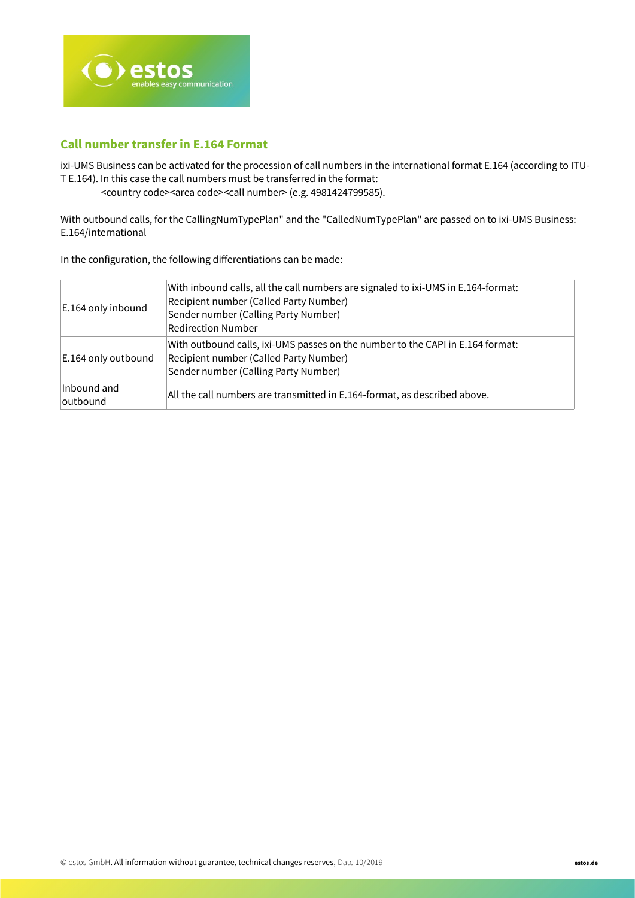

## **Call number transfer in E.164 Format**

ixi-UMS Business can be activated for the procession of call numbers in the international format E.164 (according to ITU-T E.164). In this case the call numbers must be transferred in the format:

<country code><area code><call number> (e.g. 4981424799585).

With outbound calls, for the CallingNumTypePlan" and the "CalledNumTypePlan" are passed on to ixi-UMS Business: E.164/international

In the configuration, the following differentiations can be made:

| E.164 only inbound      | With inbound calls, all the call numbers are signaled to ixi-UMS in E.164-format:<br>Recipient number (Called Party Number)<br>Sender number (Calling Party Number)<br><b>Redirection Number</b> |
|-------------------------|--------------------------------------------------------------------------------------------------------------------------------------------------------------------------------------------------|
| E.164 only outbound     | With outbound calls, ixi-UMS passes on the number to the CAPI in E.164 format:<br>Recipient number (Called Party Number)<br>Sender number (Calling Party Number)                                 |
| Inbound and<br>outbound | All the call numbers are transmitted in E.164-format, as described above.                                                                                                                        |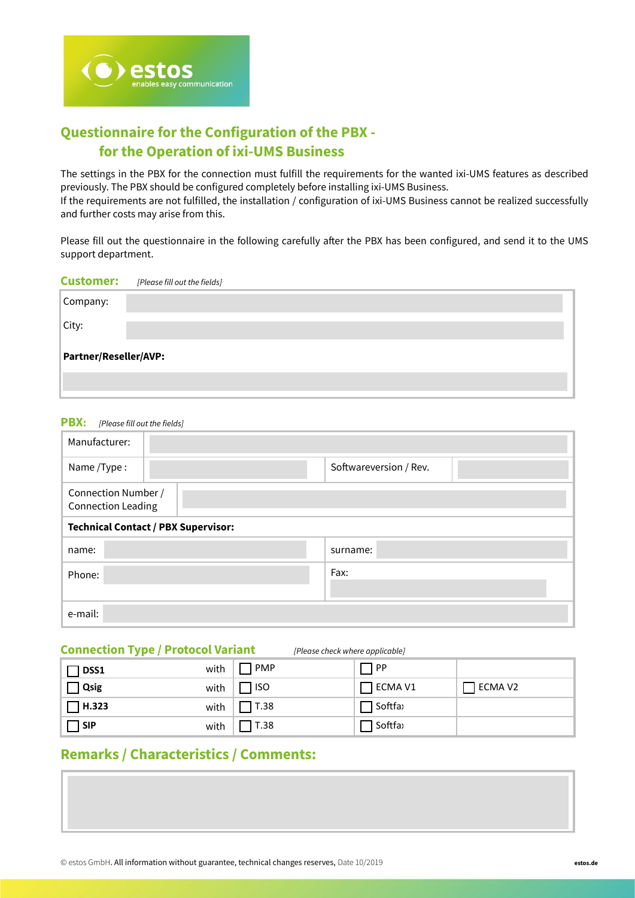

## **Questionnaire for the Configuration of the PBX for the Operation of ixi-UMS Business**

The settings in the PBX for the connection must fulfill the requirements for the wanted ixi-UMS features as described previously. The PBX should be configured completely before installing ixi-UMS Business. If the requirements are not fulfilled, the installation / configuration of ixi-UMS Business cannot be realized successfully and further costs may arise from this.

Please fill out the questionnaire in the following carefully after the PBX has been configured, and send it to the UMS support department.

| <b>Customer:</b>      | [Please fill out the fields] |  |  |  |
|-----------------------|------------------------------|--|--|--|
| Company:              |                              |  |  |  |
| City:                 |                              |  |  |  |
| Partner/Reseller/AVP: |                              |  |  |  |
|                       |                              |  |  |  |

## **PBX:** [Please fill out the fields]

| Manufacturer:                                    |                                            |                        |  |
|--------------------------------------------------|--------------------------------------------|------------------------|--|
| Name/Type:                                       |                                            | Softwareversion / Rev. |  |
| Connection Number /<br><b>Connection Leading</b> |                                            |                        |  |
|                                                  | <b>Technical Contact / PBX Supervisor:</b> |                        |  |
| name:                                            |                                            | surname:               |  |
| Phone:                                           |                                            | Fax:                   |  |
|                                                  |                                            |                        |  |
| e-mail:                                          |                                            |                        |  |

## **Connection Type / Protocol Variant** [Please check where applicable]

| DSS1         | with | $\Box$ PMP       | PP             |         |
|--------------|------|------------------|----------------|---------|
| $\Box$ Qsig  |      | with $\Box$ ISO  | $\Box$ ECMA V1 | ECMA V2 |
| $\Box$ H.323 |      | with $\Box$ T.38 | □ Softfa›      |         |
| $\Box$ SIP   | with | T.38             | Softfax        |         |

## **Remarks / Characteristics / Comments:**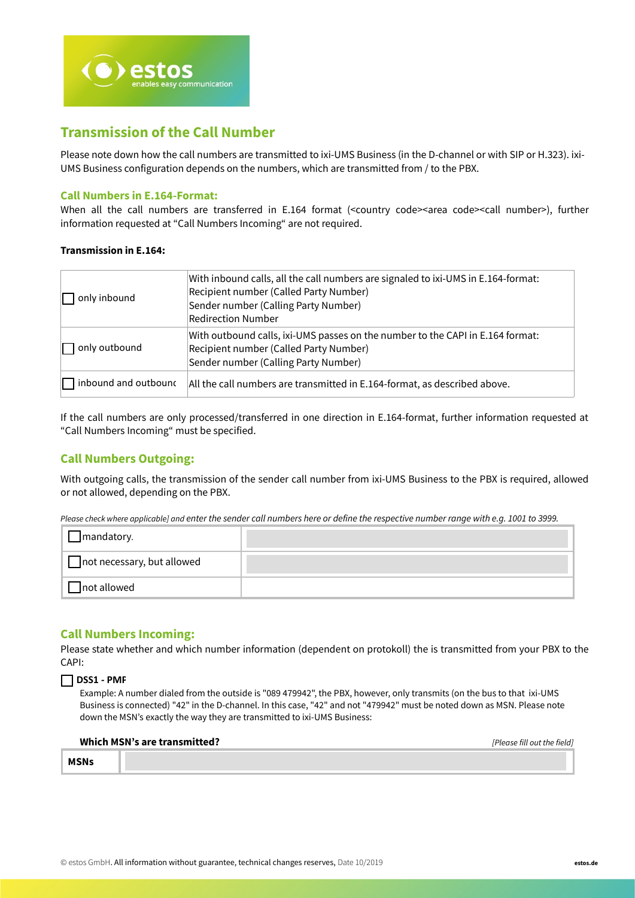

## **Transmission of the Call Number**

Please note down how the call numbers are transmitted to ixi-UMS Business (in the D-channel or with SIP or H.323). ixi-UMS Business configuration depends on the numbers, which are transmitted from / to the PBX.

## **Call Numbers in E.164-Format:**

When all the call numbers are transferred in E.164 format (<country code><area code><call number>), further information requested at "Call Numbers Incoming" are not required.

#### **Transmission in E.164:**

| only inbound                | With inbound calls, all the call numbers are signaled to ixi-UMS in E.164-format:<br>Recipient number (Called Party Number)<br>Sender number (Calling Party Number)<br><b>Redirection Number</b> |
|-----------------------------|--------------------------------------------------------------------------------------------------------------------------------------------------------------------------------------------------|
| only outbound               | With outbound calls, ixi-UMS passes on the number to the CAPI in E.164 format:<br>Recipient number (Called Party Number)<br>Sender number (Calling Party Number)                                 |
| $\Box$ inbound and outbound | All the call numbers are transmitted in E.164-format, as described above.                                                                                                                        |

If the call numbers are only processed/transferred in one direction in E.164-format, further information requested at "Call Numbers Incoming" must be specified.

## **Call Numbers Outgoing:**

With outgoing calls, the transmission of the sender call number from ixi-UMS Business to the PBX is required, allowed or not allowed, depending on the PBX.

Please check where applicable] and enter the sender call numbers here or define the respective number range with e.g. 1001 to 3999.

| $\Box$ mandatory.          |  |
|----------------------------|--|
| not necessary, but allowed |  |
| $\Box$ not allowed         |  |

## **Call Numbers Incoming:**

Please state whether and which number information (dependent on protokoll) the is transmitted from your PBX to the CAPI:

#### **DSS1 - PMP**

Example: A number dialed from the outside is "089 479942", the PBX, however, only transmits (on the bus to that ixi-UMS Business is connected) "42" in the D-channel. In this case, "42" and not "479942" must be noted down as MSN. Please note down the MSN's exactly the way they are transmitted to ixi-UMS Business:

|             | Which MSN's are transmitted? | [Please fill out the field] |
|-------------|------------------------------|-----------------------------|
| <b>MSNs</b> |                              |                             |